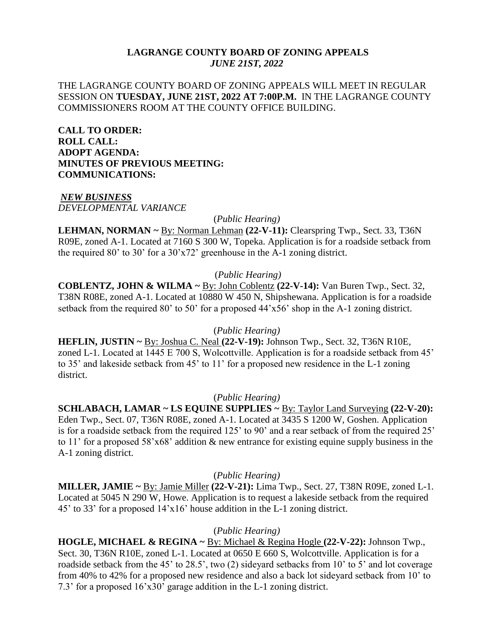### **LAGRANGE COUNTY BOARD OF ZONING APPEALS** *JUNE 21ST, 2022*

## THE LAGRANGE COUNTY BOARD OF ZONING APPEALS WILL MEET IN REGULAR SESSION ON **TUESDAY, JUNE 21ST, 2022 AT 7:00P.M.** IN THE LAGRANGE COUNTY COMMISSIONERS ROOM AT THE COUNTY OFFICE BUILDING.

**CALL TO ORDER: ROLL CALL: ADOPT AGENDA: MINUTES OF PREVIOUS MEETING: COMMUNICATIONS:**

#### *NEW BUSINESS DEVELOPMENTAL VARIANCE*

(*Public Hearing)*

**LEHMAN, NORMAN ~** By: Norman Lehman **(22-V-11):** Clearspring Twp., Sect. 33, T36N R09E, zoned A-1. Located at 7160 S 300 W, Topeka. Application is for a roadside setback from the required 80' to 30' for a 30'x72' greenhouse in the A-1 zoning district.

## (*Public Hearing)*

**COBLENTZ, JOHN & WILMA ~** By: John Coblentz **(22-V-14):** Van Buren Twp., Sect. 32, T38N R08E, zoned A-1. Located at 10880 W 450 N, Shipshewana. Application is for a roadside setback from the required 80' to 50' for a proposed 44'x56' shop in the A-1 zoning district.

## (*Public Hearing)*

**HEFLIN, JUSTIN ~** By: Joshua C. Neal **(22-V-19):** Johnson Twp., Sect. 32, T36N R10E, zoned L-1. Located at 1445 E 700 S, Wolcottville. Application is for a roadside setback from 45' to 35' and lakeside setback from 45' to 11' for a proposed new residence in the L-1 zoning district.

# (*Public Hearing)*

**SCHLABACH, LAMAR ~ LS EQUINE SUPPLIES ~** By: Taylor Land Surveying **(22-V-20):** Eden Twp., Sect. 07, T36N R08E, zoned A-1. Located at 3435 S 1200 W, Goshen. Application is for a roadside setback from the required 125' to 90' and a rear setback of from the required 25' to 11' for a proposed 58'x68' addition & new entrance for existing equine supply business in the A-1 zoning district.

## (*Public Hearing)*

**MILLER, JAMIE ~** By: Jamie Miller **(22-V-21):** Lima Twp., Sect. 27, T38N R09E, zoned L-1. Located at 5045 N 290 W, Howe. Application is to request a lakeside setback from the required 45' to 33' for a proposed 14'x16' house addition in the L-1 zoning district.

## (*Public Hearing)*

**HOGLE, MICHAEL & REGINA ~** By: Michael & Regina Hogle **(22-V-22):** Johnson Twp., Sect. 30, T36N R10E, zoned L-1. Located at 0650 E 660 S, Wolcottville. Application is for a roadside setback from the 45' to 28.5', two (2) sideyard setbacks from 10' to 5' and lot coverage from 40% to 42% for a proposed new residence and also a back lot sideyard setback from 10' to 7.3' for a proposed 16'x30' garage addition in the L-1 zoning district.